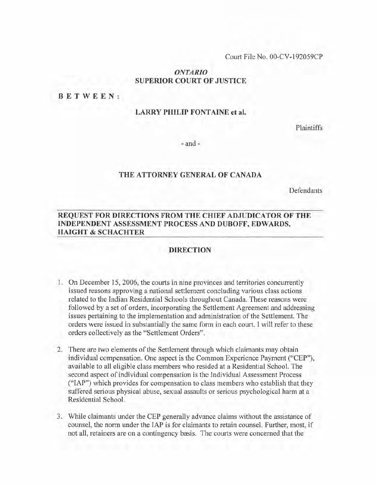Court File No. OO-CV-192059CP

## *ONTARIO* **SUPERIOR COURT OF JUSTICE**

#### **BETWEEN:**

## **LARRY PHILIP FONTAINE et al.**

Plaintiffs

- and-

### **THE ATTORNEY GENERAL OF CANADA**

**Defendants** 

## **REQUEST FOR DIRECTIONS FROM THE CHIEF ADJUDICATOR OF THE INDEPENDENT ASSESSMENT PROCESS AND DUBOFF, EDWARDS, HAIGHT & SCHACHTER**

#### **DIRECTION**

- 1. On December 15, 2006, the courts in nine provinces and territories concurrently issued reasons approving a national settlement concluding various class actions related to the Indian Residential Schools throughout Canada. These reasons were followed by a set of orders, incorporating the Settlement Agreement and addressing issues pertaining to the implementation and administration of the Settlement. The orders were issued in substantially the same form in each court. I will refer to these orders collectively as the "Settlement Orders".
- 2. There are two elements of the Settlement through which claimants may obtain individual compensation. One aspect is the Common Experience Payment ("CEP"), available to all eligible class members who resided at a Residential School. The second aspect of individual compensation is the Individual Assessment Process ("lAP") which provides for compensation to class members who establish that they suffered serious physical abuse, sexual assaults or serious psychological harm at a Residential School.
- 3. While claimants under the CEP generally advance claims without the assistance of counsel, the norm under the lAP is for claimants to retain counsel. Further, most, if not all, retainers are on a contingency basis. The courts were concerned that the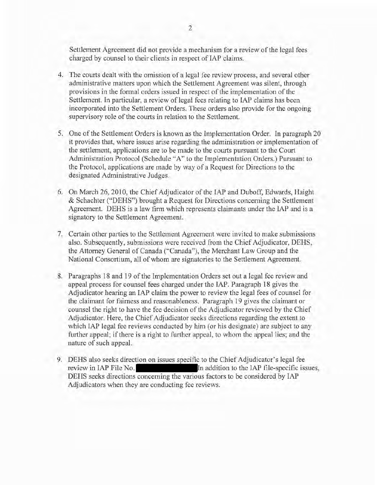Settlement Agreement did not provide a mechanism for a review of the legal fees charged by counsel to their clients in respect of lAP claims.

- 4. The courts dealt with the omission of a legal fee review process, and several other administrative matters upon which the Settlement Agreement was silent, through provisions in the formal orders issued in respect of the implementation of the Settlement. In particular, a review of legal fees relating to lAP claims has been incorporated into the Settlement Orders. These orders also provide for the ongoing supervisory role of the courts in relation to the Settlement.
- 5. One of the Settlement Orders is known as the Implementation Order. In paragraph 20 it provides that, where issues arise regarding the administration or implementation of the settlement, applications are to be made to the courts pursuant to the Court Administration Protocol (Schedule "A" to the Implementation Orders.) Pursuant to the Protocol, applications are made by way of a Request for Directions to the designated Administrative Judges.
- 6. On March 26, 2010, the Chief Adjudicator of the IAP and Duboff, Edwards, Haight & Schachter ("DEHS") brought a Request for Directions concerning the Settlement Agreement. DEHS is a law firm which represents claimants under the lAP and is a signatory to the Settlement Agreement.
- 7. Certain other parties to the Settlement Agreement were invited to make submissions also. Subsequently, submissions were received from the Chief Adjudicator, DEHS, the Attorney General of Canada ("Canada"), the Merchant Law Group and the National Consortium, all of whom are signatories to the Settlement Agreement.
- 8. Paragraphs 18 and 19 of the Implementation Orders set out a legal fee review and appeal process for counsel fees charged under the lAP. Paragraph 18 gives the Adjudicator hearing an lAP claim the power to review the legal fees of counsel for the claimant for fairness and reasonableness. Paragraph 19 gives the claimant or counsel the right to have the fee decision of the Adjudicator reviewed by the Chief Adjudicator. Here, the Chief Adjudicator seeks directions regarding the extent to which lAP legal fee reviews conducted by him (or his designate) are subject to any further appeal; if there is a right to further appeal, to whom the appeal lies; and the nature of such appeal.
- 9. DEHS also seeks direction on issues specific to the Chief Adjudicator's legal fee review in IAP File No. **In addition to the IAP file-specific issues**, DEHS seeks directions concerning the various factors to be considered by lAP Adjudicators when they are conducting fee reviews.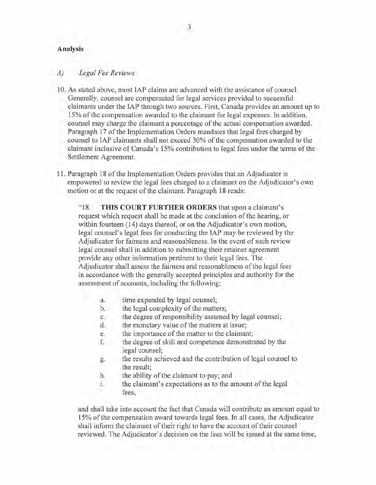## **Analysis**

#### *A) Legal Fee Reviews*

- 10. As stated above, most lAP claims are advanced with the assistance of counsel. Generally, counsel are compensated for legal services provided to successful claimants under the lAP through two sources. First, Canada provides an amount up to 15% ofthe compensation awarded to the claimant for legal expenses. In addition, counsel may charge the claimant a percentage of the actual compensation awarded. Paragraph 17 of the Implementation Orders mandates that legal fees charged by counsel to IAP claimants shall not exceed 30% of the compensation awarded to the claimant inclusive of Canada's 15% contribution to legal fees under the terms ofthe Settlement Agreement.
- 11. Paragraph 18 ofthe Implementation Orders provides that an Adjudicator is empowered to review the legal fees charged to a claimant on the Adjudicator's own motion or at the request of the claimant. Paragraph 18 reads:

"18. **THIS COURT FURTHER ORDERS** that upon a claimant's request which request shall be made at the conclusion of the hearing, or within fourteen (14) days thereof, or on the Adjudicator's own motion, legal counsel's legal fees for conducting the lAP may be reviewed by the Adjudicator for fairness and reasonableness. In the event of such review legal counsel shall in addition to submitting their retainer agreement provide any other information pertinent to their legal fees. The Adjudicator shall assess the fairness and reasonableness of the legal fees in accordance with the generally accepted principles and authority for the assessment of accounts, including the following:

- a. time expended by legal counsel;
- b. the legal complexity of the matters;
- c. the degree ofresponsibility assumed by legal counsel;
- d. the monetary value of the matters at issue;
- e. the importance of the matter to the claimant;
- f. the degree ofskill and competence demonstrated by the legal counsel;
- g. the results achieved and the contribution of legal counsel to the result;
- h. the ability of the claimant to pay; and
- i. the claimant's expectations as to the amount of the legal fees,

and shall take into account the fact that Canada will contribute an amount equal to 15% ofthe compensation award towards legal fees. In all cases, the Adjudicator shall inform the claimant of their right to have the account of their counsel reviewed. The Adjudicator's decision on the fees will be issued at the same time,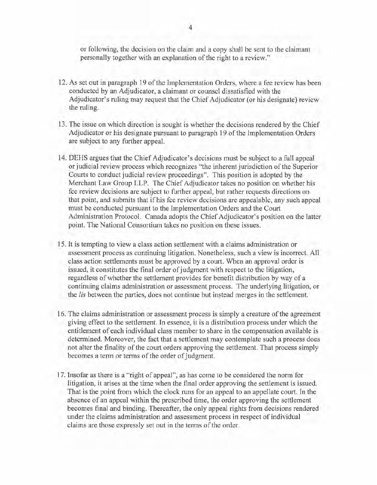or following, the decision on the claim and a copy shall be sent to the claimant personally together with an explanation of the right to a review."

- 12. As set out in paragraph 19 of the Implementation Orders, where a fee review has been conducted by an Adjudicator, a claimant or counsel dissatisfied with the Adjudicator's ruling may request that the Chief Adjudicator (or his designate) review the ruling.
- 13. The issue on which direction is sought is whether the decisions rendered by the Chief Adjudicator or his designate pursuant to paragraph 19 of the Implementation Orders are subject to any further appeal.
- 14. DEHS argues that the Chief Adjudicator's decisions must be subject to a full appeal or judicial review process which recognizes "the inherent jurisdiction ofthe Superior Courts to conduct judicial review proceedings". This position is adopted by the Merchant Law Group LLP. The Chief Adjudicator takes no position on whether his fee review decisions are subject to further appeal, but rather requests directions on that point, and submits that if his fee review decisions are appealable, any such appeal must be conducted pursuant to the Implementation Orders and the Court Administration Protocol. Canada adopts the Chief Adjudicator's position on the latter point. The National Consortium takes no position on these issues.
- 15. It is tempting to view a class action settlement with a claims administration or assessment process as continuing litigation. Nonetheless, such a view is incorrect. All class action settlements must be approved by a court. When an approval order is issued, it constitutes the final order of judgment with respect to the litigation, regardless of whether the settlement provides for benefit distribution by way of a continuing claims administration or assessment process. The underlying litigation, or the *lis* between the parties, does not continue but instead merges in the settlement.
- 16. The claims administration or assessment process is simply a creature of the agreement giving effect to the settlement. In essence, it is a distribution process under which the entitlement of each individual class member to share in the compensation available is determined. Moreover, the fact that a settlement may contemplate such a process does not alter the finality of the court orders approving the settlement. That process simply becomes a term or terms of the order of judgment.
- 17. Insofar as there is a "right of appeal", as has corne to be considered the norm for litigation, it arises at the time when the final order approving the settlement is issued. That is the point from which the clock runs for an appeal to an appellate court. In the absence of an appeal within the prescribed time, the order approving the settlement becomes final and binding. Thereafter, the only appeal rights from decisions rendered under the claims administration and assessment process in respect of individual claims are those expressly set out in the terms of the order.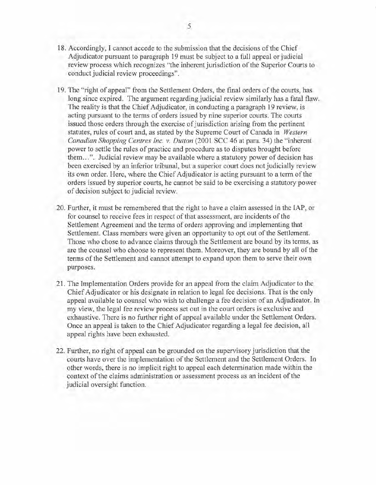- 18. Accordingly, I cannot accede to the submission that the decisions of the Chief Adjudicator pursuant to paragraph 19 must be subject to a full appeal or judicial review process which recognizes "the inherent jurisdiction of the Superior Courts to conduct judicial review proceedings".
- 19. The "right of appeal" from the Settlement Orders, the final orders ofthe courts, has long since expired. The argument regarding judicial review similarly has a fatal flaw. The reality is that the Chief Adjudicator, in conducting a paragraph 19 review, is acting pursuant to the terms of orders issued by nine superior courts. The courts issued those orders through the exercise of jurisdiction arising from the pertinent statutes, rules of court and, as stated by the Supreme Court of Canada in *Western Canadian Shopping Centres Inc. v. Dutton* (2001 SCC 46 at para. 34) the "inherent power to settle the rules of practice and procedure as to disputes brought before them... ". Judicial review may be available where a statutory power of decision has been exercised by an inferior tribunal, but a superior court does not judicially review its own order. Here, where the Chief Adjudicator is acting pursuant to a term of the orders issued by superior courts, he cannot be said to be exercising a statutory power of decision subject to judicial review.
- 20. Further, it must be remembered that the right to have a claim assessed in the lAP, or for counsel to receive fees in respect of that assessment, are incidents of the Settlement Agreement and the terms of orders approving and implementing that Settlement. Class members were given an opportunity to opt out of the Settlement. Those who chose to advance claims through the Settlement are bound by its terms, as are the counsel who choose to represent them. Moreover, they are bound by all of the terms of the Settlement and cannot attempt to expand upon them to serve their own purposes.
- 21. The Implementation Orders provide for an appeal from the claim Adjudicator to the Chief Adjudicator or his designate in relation to legal fee decisions. That is the only appeal available to counsel who wish to challenge a fee decision of an Adjudicator. **In** my view, the legal fee review process set out in the court orders is exclusive and exhaustive. There is no further right of appeal available under the Settlement Orders. Once an appeal is taken to the Chief Adjudicator regarding a legal fee decision, all appeal rights have been exhausted.
- 22. Further, no right of appeal can be grounded on the supervisory jurisdiction that the courts have over the implementation ofthe Settlement and the Settlement Orders. **In** other words, there is no implicit right to appeal each determination made within the context of the claims administration or assessment process as an incident of the judicial oversight function.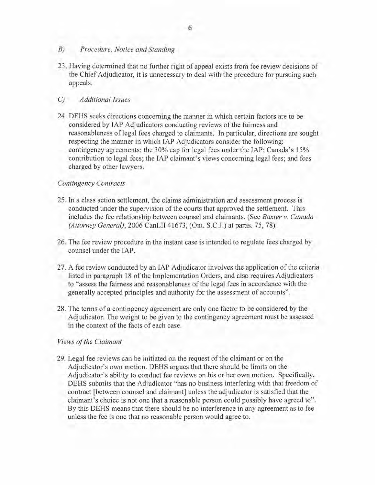## *B) Procedure, Notice and Standing*

23. Having determined that no further right of appeal exists from fee review decisions of the Chief Adjudicator, it is unnecessary to deal with the procedure for pursuing such appeals.

### C) *Additional Issues*

24. DEHS seeks directions concerning the manner in which certain factors are to be considered by IAP Adjudicators conducting reviews of the fairness and reasonableness of legal fees charged to claimants. In particular, directions are sought respecting the manner in which lAP Adjudicators consider the following: contingency agreements; the 30% cap for legal fees under the lAP; Canada's 15% contribution to legal fees; the lAP claimant's views concerning legal fees; and fees charged by other lawyers.

#### *Contingency Contracts*

- 25. In a class action settlement, the claims administration and assessment process is conducted under the supervision of the courts that approved the settlement. This includes the fee relationship between counsel and claimants. (See *Baxter* v. *Canada (Attorney General),* 2006 CanLII 41673, (Ont. S.C.J.) at paras. 75, 78).
- 26. The fee review procedure in the instant case is intended to regulate fees charged by counsel under the lAP.
- 27. A fee review conducted by an IAP Adjudicator involves the application of the criteria listed in paragraph 18 of the Implementation Orders, and also requires Adjudicators to "assess the fairness and reasonableness ofthe legal fees in accordance with the generally accepted principles and authority for the assessment of accounts".
- 28. The terms of a contingency agreement are only one factor to be considered by the Adjudicator. The weight to be given to the contingency agreement must be assessed in the context of the facts of each case.

#### *Views ofthe Claimant*

29. Legal fee reviews can be initiated on the request of the claimant or on the Adjudicator's own motion. DEHS argues that there should be limits on the Adjudicator's ability to conduct fee reviews on his or her own motion. Specifically, DEHS submits that the Adjudicator "has no business interfering with that freedom of contract [between counsel and claimant] unless the adjudicator is satisfied that the claimant's choice is not one that a reasonable person could possibly have agreed to". By this DEHS means that there should be no interference in any agreement as to fee unless the fee is one that no reasonable person would agree to.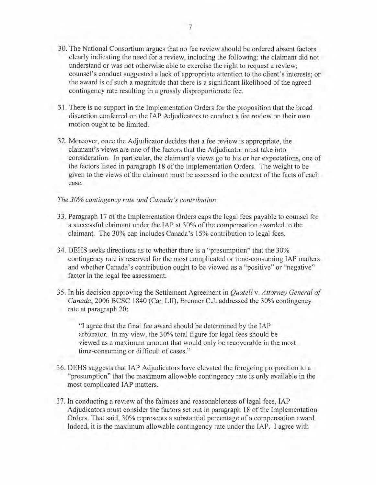- 30. The National Consortium argues that no fee review should be ordered absent factors clearly indicating the need for a review, including the following: the claimant did not understand or was not otherwise able to exercise the right to request a review; counsel's conduct suggested a lack of appropriate attention to the client's interests; or the award is of such a magnitude that there is a significant likelihood of the agreed contingency rate resulting in a grossly disproportionate fee.
- 31. There is no support in the Implementation Orders for the proposition that the broad discretion conferred on the lAP Adjudicators to conduct a fee review on their own motion ought to be limited.
- 32. Moreover, once the Adjudicator decides that a fee review is appropriate, the claimant's views are one of the factors that the Adjudicator must take into consideration. In particular, the claimant's views go to his or her expectations, one of the factors listed in paragraph 18 ofthe Implementation Orders. The weight to be given to the views of the claimant must be assessed in the context of the facts of each case.

### *The 30% contingency rate and Canada's contribution*

- 33. Paragraph 17 of the Implementation Orders caps the legal fees payable to counsel for a successful claimant under the IAP at 30% of the compensation awarded to the claimant. The 30% cap includes Canada's 15% contribution to legal fees.
- 34. DEHS seeks directions as to whether there is a "presumption" that the 30% contingency rate is reserved for the most complicated or time-consuming lAP matters and whether Canada's contribution ought to be viewed as a "positive" or "negative" factor in the legal fee assessment.
- 35. In his decision approving the Settlement Agreement in *Quatell* v. *Attorney General of Canada,* 2006 BCSC 1840 (Can LII), Brenner C.J. addressed the 30% contingency rate at paragraph 20:

"I agree that the final fee award should be determined by the lAP arbitrator. In my view, the 30% total figure for legal fees should be viewed as a maximum amount that would only be recoverable in the most time-consuming or difficult of cases."

- 36. DEHS suggests that lAP Adjudicators have elevated the foregoing proposition to a "presumption" that the maximum allowable contingency rate is only available in the most complicated lAP matters.
- 37. In conducting a review of the fairness and reasonableness of legal fees, IAP Adjudicators must consider the factors set out in paragraph 18 of the Implementation Orders. That said, 30% represents a substantial percentage of a compensation award. Indeed, it is the maximum allowable contingency rate under the lAP. I agree with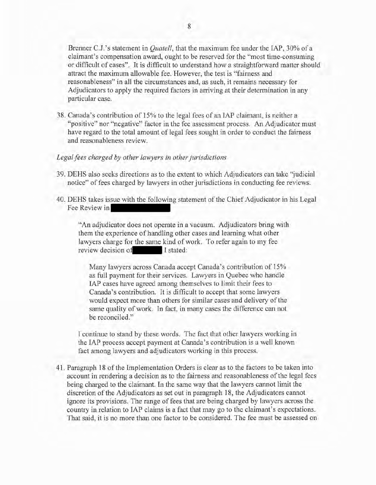Brenner C.J. 's statement in *Quatell,* that the maximum fee under the lAP, 30% of a claimant's compensation award, ought to be reserved for the "most time-consuming or difficult of cases". It is difficult to understand how a straightforward matter should attract the maximum allowable fee. However, the test is "fairness and reasonableness" in all the circumstances and, as such, it remains necessary for Adjudicators to apply the required factors in arriving at their determination in any particular case.

38. Canada's contribution of 15% to the legal fees of an lAP claimant, is neither a "positive" nor "negative" factor in the fee assessment process. An Adjudicator must have regard to the total amount of legal fees sought in order to conduct the fairness and reasonableness review.

#### *Legalfees charged by other lawyers in otherjurisdictions*

- 39. DEHS also seeks directions as to the extent to which Adjudicators can take "judicial notice" of fees charged by lawyers in other jurisdictions in conducting fee reviews.
- 40. DEHS takes issue with the following statement of the Chief Adjudicator in his Legal Fee Review in

"An adjudicator does not operate in a vacuum. Adjudicators bring with them the experience of handling other cases and learning what other lawyers charge for the same kind of work. To refer again to my fee review decision of I stated:

Many lawyers across Canada accept Canada's contribution of 15% as full payment for their services. Lawyers in Quebec who handle lAP cases have agreed among themselves to limit their fees to Canada's contribution. It is difficult to accept that some lawyers would expect more than others for similar cases and delivery of the same quality of work. In fact, in many cases the difference can not be reconciled."

I continue to stand by these words. The fact that other lawyers working in the lAP process accept payment at Canada's contribution is a well known fact among lawyers and adjudicators working in this process.

41. Paragraph 18 ofthe Implementation Orders is clear as to the factors to be taken into account in rendering a decision as to the fairness and reasonableness ofthe legal fees being charged to the claimant. In the same way that the lawyers cannot limit the discretion of the Adjudicators as set out in paragraph 18, the Adjudicators cannot ignore its provisions. The range of fees that are being charged by lawyers across the country in relation to lAP claims is a fact that may go to the claimant's expectations. That said, it is no more than one factor to be considered. The fee must be assessed on